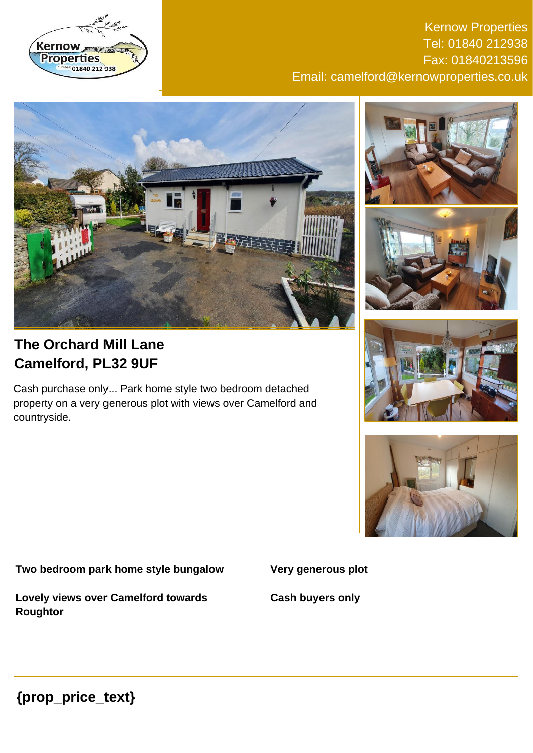

Kernow Properties Tel: 01840 212938 Fax: 01840213596 Email: camelford@kernowproperties.co.uk







# **The Orchard Mill Lane Camelford, PL32 9UF**

Cash purchase only... Park home style two bedroom detached property on a very generous plot with views over Camelford and countryside.





**Two bedroom park home style bungalow**

**Very generous plot**

**Lovely views over Camelford towards Roughtor**

**Cash buyers only**